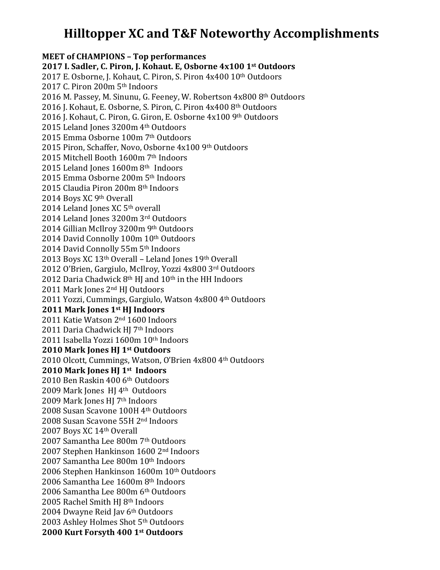# **Hilltopper XC and T&F Noteworthy Accomplishments**

**MEET of CHAMPIONS – Top performances 2017 I. Sadler, C. Piron, J. Kohaut. E, Osborne 4x100 1st Outdoors** 2017 E. Osborne, J. Kohaut, C. Piron, S. Piron 4x400 10th Outdoors 2017 C. Piron 200m 5<sup>th</sup> Indoors 2016 M. Passey, M. Sinunu, G. Feeney, W. Robertson 4x800 8th Outdoors 2016 J. Kohaut, E. Osborne, S. Piron, C. Piron 4x400 8th Outdoors 2016 J. Kohaut, C. Piron, G. Giron, E. Osborne 4x100 9th Outdoors 2015 Leland Jones 3200m 4th Outdoors 2015 Emma Osborne 100m 7<sup>th</sup> Outdoors 2015 Piron, Schaffer, Novo, Osborne 4x100 9th Outdoors 2015 Mitchell Booth 1600m 7th Indoors 2015 Leland Jones 1600m 8th Indoors 2015 Emma Osborne 200m 5th Indoors 2015 Claudia Piron 200m 8th Indoors 2014 Boys XC 9th Overall 2014 Leland Jones XC 5<sup>th</sup> overall 2014 Leland Iones 3200m 3rd Outdoors 2014 Gillian McIlroy 3200m 9th Outdoors 2014 David Connolly 100m 10th Outdoors 2014 David Connolly 55m 5th Indoors 2013 Boys XC  $13<sup>th</sup>$  Overall – Leland Jones  $19<sup>th</sup>$  Overall 2012 O'Brien, Gargiulo, McIlroy, Yozzi 4x800 3rd Outdoors 2012 Daria Chadwick  $8<sup>th</sup>$  HJ and  $10<sup>th</sup>$  in the HH Indoors 2011 Mark Jones 2<sup>nd</sup> HJ Outdoors 2011 Yozzi, Cummings, Gargiulo, Watson 4x800 4th Outdoors **2011 Mark Jones 1st HJ Indoors** 2011 Katie Watson 2<sup>nd</sup> 1600 Indoors 2011 Daria Chadwick HI 7<sup>th</sup> Indoors 2011 Isabella Yozzi 1600m 10th Indoors **2010 Mark Jones HJ 1st Outdoors** 2010 Olcott, Cummings, Watson, O'Brien 4x800 4th Outdoors **2010 Mark Jones HJ 1st Indoors** 2010 Ben Raskin 400 6th Outdoors 2009 Mark Jones  $H$ J 4<sup>th</sup> Outdoors 2009 Mark Jones HI 7<sup>th</sup> Indoors 2008 Susan Scavone 100H 4th Outdoors 2008 Susan Scavone 55H 2<sup>nd</sup> Indoors 2007 Boys XC 14th Overall 2007 Samantha Lee 800m 7th Outdoors 2007 Stephen Hankinson 1600 2nd Indoors 2007 Samantha Lee 800m 10th Indoors 2006 Stephen Hankinson 1600m 10th Outdoors 2006 Samantha Lee 1600m 8<sup>th</sup> Indoors 2006 Samantha Lee 800m 6<sup>th</sup> Outdoors 2005 Rachel Smith HJ 8<sup>th</sup> Indoors 2004 Dwayne Reid Jav 6th Outdoors 2003 Ashley Holmes Shot 5<sup>th</sup> Outdoors **2000 Kurt Forsyth 400 1st Outdoors**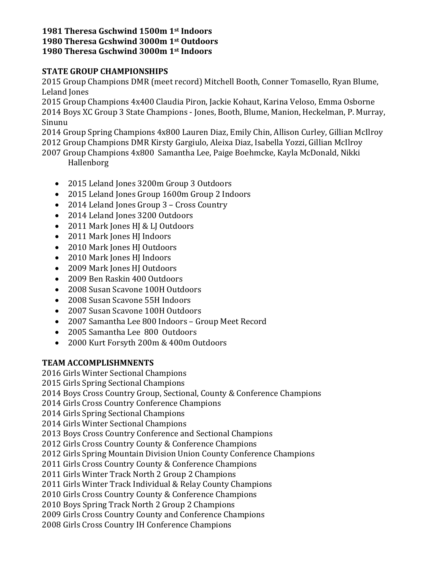#### **1981 Theresa Gschwind 1500m 1st Indoors 1980 Theresa Gcshwind 3000m 1st Outdoors 1980 Theresa Gschwind 3000m 1st Indoors**

### **STATE GROUP CHAMPIONSHIPS**

2015 Group Champions DMR (meet record) Mitchell Booth, Conner Tomasello, Ryan Blume, Leland Jones

2015 Group Champions 4x400 Claudia Piron, Jackie Kohaut, Karina Veloso, Emma Osborne 2014 Boys XC Group 3 State Champions - Jones, Booth, Blume, Manion, Heckelman, P. Murray, Sinunu

2014 Group Spring Champions 4x800 Lauren Diaz, Emily Chin, Allison Curley, Gillian McIlroy 2012 Group Champions DMR Kirsty Gargiulo, Aleixa Diaz, Isabella Yozzi, Gillian McIlroy

2007 Group Champions 4x800 Samantha Lee, Paige Boehmcke, Kayla McDonald, Nikki Hallenborg

- 2015 Leland Jones 3200m Group 3 Outdoors
- 2015 Leland Jones Group 1600m Group 2 Indoors
- 2014 Leland Jones Group 3 Cross Country
- 2014 Leland Jones 3200 Outdoors
- 2011 Mark Jones HJ & LJ Outdoors
- 2011 Mark Jones HJ Indoors
- 2010 Mark Jones HJ Outdoors
- 2010 Mark Jones HJ Indoors
- 2009 Mark Jones HJ Outdoors
- 2009 Ben Raskin 400 Outdoors
- 2008 Susan Scavone 100H Outdoors
- 2008 Susan Scavone 55H Indoors
- 2007 Susan Scavone 100H Outdoors
- 2007 Samantha Lee 800 Indoors Group Meet Record
- 2005 Samantha Lee 800 Outdoors
- 2000 Kurt Forsyth 200m & 400m Outdoors

## **TEAM ACCOMPLISHMNENTS**

2016 Girls Winter Sectional Champions

2015 Girls Spring Sectional Champions

2014 Boys Cross Country Group, Sectional, County & Conference Champions

2014 Girls Cross Country Conference Champions

2014 Girls Spring Sectional Champions

2014 Girls Winter Sectional Champions

2013 Boys Cross Country Conference and Sectional Champions

2012 Girls Cross Country County & Conference Champions

2012 Girls Spring Mountain Division Union County Conference Champions

2011 Girls Cross Country County & Conference Champions

2011 Girls Winter Track North 2 Group 2 Champions

2011 Girls Winter Track Individual & Relay County Champions

2010 Girls Cross Country County & Conference Champions

2010 Boys Spring Track North 2 Group 2 Champions

2009 Girls Cross Country County and Conference Champions

2008 Girls Cross Country IH Conference Champions